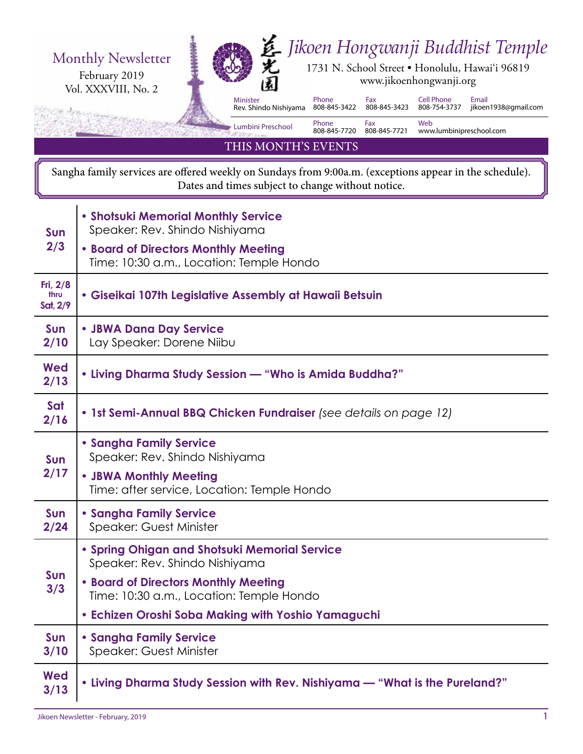

Sangha family services are offered weekly on Sundays from 9:00a.m. (exceptions appear in the schedule). Dates and times subject to change without notice.

| <b>Sun</b><br>2/3              | • Shotsuki Memorial Monthly Service<br>Speaker: Rev. Shindo Nishiyama            |  |
|--------------------------------|----------------------------------------------------------------------------------|--|
|                                | • Board of Directors Monthly Meeting<br>Time: 10:30 a.m., Location: Temple Hondo |  |
| Fri, 2/8<br>thru<br>Sat, $2/9$ | • Giseikai 107th Legislative Assembly at Hawaii Betsuin                          |  |
| Sun<br>2/10                    | • JBWA Dana Day Service<br>Lay Speaker: Dorene Niibu                             |  |
| Wed<br>2/13                    | • Living Dharma Study Session — "Who is Amida Buddha?"                           |  |
| Sat<br>2/16                    | • 1st Semi-Annual BBQ Chicken Fundraiser (see details on page 12)                |  |
| <b>Sun</b><br>2/17             | <b>• Sangha Family Service</b><br>Speaker: Rev. Shindo Nishiyama                 |  |
|                                | • JBWA Monthly Meeting<br>Time: after service, Location: Temple Hondo            |  |
| Sun<br>2/24                    | <b>• Sangha Family Service</b><br><b>Speaker: Guest Minister</b>                 |  |
| Sun<br>3/3                     | • Spring Ohigan and Shotsuki Memorial Service<br>Speaker: Rev. Shindo Nishiyama  |  |
|                                | . Board of Directors Monthly Meeting<br>Time: 10:30 a.m., Location: Temple Hondo |  |
|                                | • Echizen Oroshi Soba Making with Yoshio Yamaguchi                               |  |
| Sun<br>3/10                    | <b>• Sangha Family Service</b><br><b>Speaker: Guest Minister</b>                 |  |
| <b>Wed</b><br>3/13             | . Living Dharma Study Session with Rev. Nishiyama - "What is the Pureland?"      |  |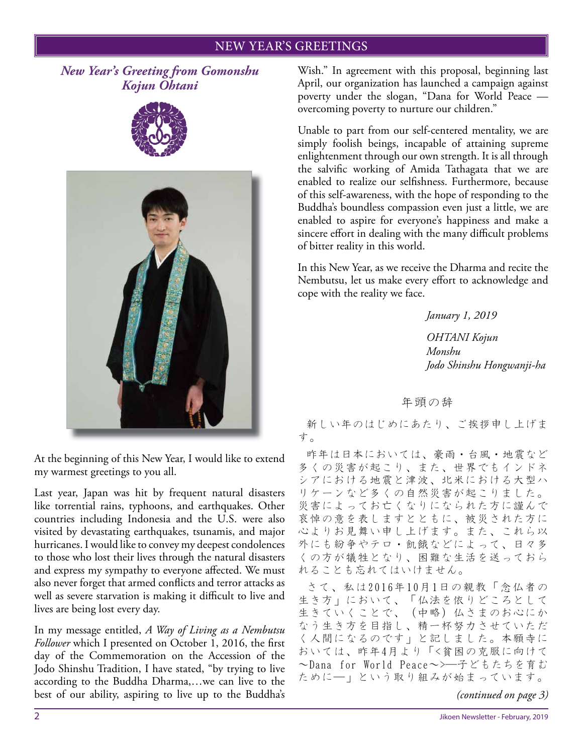#### NEW YEAR'S GREETINGS

*New Year's Greeting from Gomonshu Kojun Ohtani*





At the beginning of this New Year, I would like to extend my warmest greetings to you all.

Last year, Japan was hit by frequent natural disasters like torrential rains, typhoons, and earthquakes. Other countries including Indonesia and the U.S. were also visited by devastating earthquakes, tsunamis, and major hurricanes. I would like to convey my deepest condolences to those who lost their lives through the natural disasters and express my sympathy to everyone affected. We must also never forget that armed conflicts and terror attacks as well as severe starvation is making it difficult to live and lives are being lost every day.

In my message entitled, *A Way of Living as a Nembutsu Follower* which I presented on October 1, 2016, the first day of the Commemoration on the Accession of the Jodo Shinshu Tradition, I have stated, "by trying to live according to the Buddha Dharma,…we can live to the best of our ability, aspiring to live up to the Buddha's Wish." In agreement with this proposal, beginning last April, our organization has launched a campaign against poverty under the slogan, "Dana for World Peace overcoming poverty to nurture our children."

Unable to part from our self-centered mentality, we are simply foolish beings, incapable of attaining supreme enlightenment through our own strength. It is all through the salvific working of Amida Tathagata that we are enabled to realize our selfishness. Furthermore, because of this self-awareness, with the hope of responding to the Buddha's boundless compassion even just a little, we are enabled to aspire for everyone's happiness and make a sincere effort in dealing with the many difficult problems of bitter reality in this world.

In this New Year, as we receive the Dharma and recite the Nembutsu, let us make every effort to acknowledge and cope with the reality we face.

*January 1, 2019*

*OHTANI Kojun Monshu Jodo Shinshu Hongwanji-ha*

年頭の辞

新しい年のはじめにあたり、ご挨拶申し上げま す。

昨年は日本においては、豪雨・台風・地震など 多くの災害が起こり、また、世界でもインドネ シアにおける地震と津波、北米における大型ハ リケーンなど多くの自然災害が起こりました。 災害によってお亡くなりになられた方に謹んで 哀悼の意を表しますとともに、被災された方に 心よりお見舞い申し上げます。また、これら以 外にも紛争やテロ・飢餓などによって、日々多 くの方が犠牲となり、困難な生活を送っておら れることも忘れてはいけません。

さて、私は2016年10月1日の親教「念仏者の 生き方」において、「仏法を依りどころとして 生きていくことで、(中略)仏さまのお心にか なう生き方を目指し、精一杯努力させていただ く人間になるのです」と記しました。本願寺に おいては、昨年4月より「<貧困の克服に向けて ~Dana for World Peace~>―子どもたちを育む ために―」という取り組みが始まっています。

*(continued on page 3)*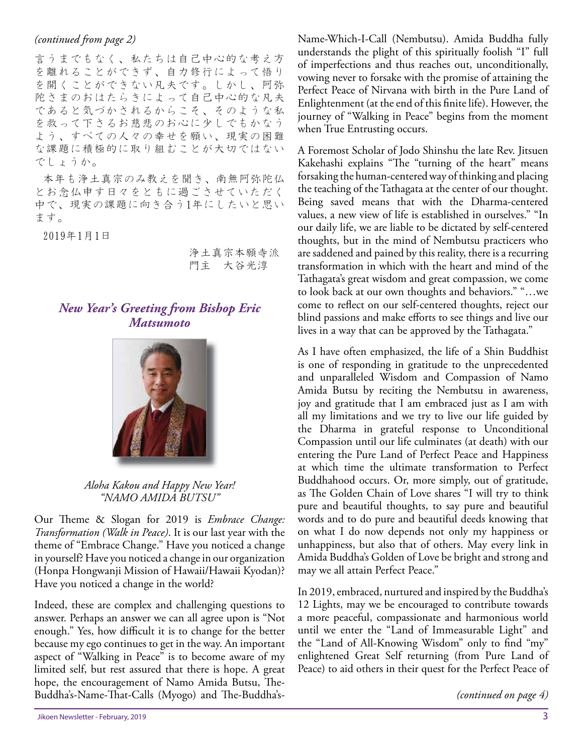#### *(continued from page 2)*

言うまでもなく、私たちは自己中心的な考え方 を離れることができず、自力修行によって悟り を開くことができない凡夫です。しかし、阿弥 陀さまのおはたらきによって自己中心的な凡夫 であると気づかされるからこそ、そのような私 を救って下さるお慈悲のお心に少しでもかなう よう、すべての人々の幸せを願い、現実の困難 な課題に積極的に取り組むことが大切ではない でしょうか。

本年も浄土真宗のみ教えを聞き、南無阿弥陀仏 とお念仏申す日々をともに過ごさせていただく 中で、現実の課題に向き合う1年にしたいと思い ます。

2019年1月1日

浄土真宗本願寺派 門主 大谷光淳

#### *New Year's Greeting from Bishop Eric Matsumoto*



*Aloha Kakou and Happy New Year! "NAMO AMIDA BUTSU"*

Our Theme & Slogan for 2019 is *Embrace Change: Transformation (Walk in Peace)*. It is our last year with the theme of "Embrace Change." Have you noticed a change in yourself? Have you noticed a change in our organization (Honpa Hongwanji Mission of Hawaii/Hawaii Kyodan)? Have you noticed a change in the world?

Indeed, these are complex and challenging questions to answer. Perhaps an answer we can all agree upon is "Not enough." Yes, how difficult it is to change for the better because my ego continues to get in the way. An important aspect of "Walking in Peace" is to become aware of my limited self, but rest assured that there is hope. A great hope, the encouragement of Namo Amida Butsu, The-Buddha's-Name-That-Calls (Myogo) and The-Buddha'sName-Which-I-Call (Nembutsu). Amida Buddha fully understands the plight of this spiritually foolish "I" full of imperfections and thus reaches out, unconditionally, vowing never to forsake with the promise of attaining the Perfect Peace of Nirvana with birth in the Pure Land of Enlightenment (at the end of this finite life). However, the journey of "Walking in Peace" begins from the moment when True Entrusting occurs.

A Foremost Scholar of Jodo Shinshu the late Rev. Jitsuen Kakehashi explains "The "turning of the heart" means forsaking the human-centered way of thinking and placing the teaching of the Tathagata at the center of our thought. Being saved means that with the Dharma-centered values, a new view of life is established in ourselves." "In our daily life, we are liable to be dictated by self-centered thoughts, but in the mind of Nembutsu practicers who are saddened and pained by this reality, there is a recurring transformation in which with the heart and mind of the Tathagata's great wisdom and great compassion, we come to look back at our own thoughts and behaviors." "…we come to reflect on our self-centered thoughts, reject our blind passions and make efforts to see things and live our lives in a way that can be approved by the Tathagata."

As I have often emphasized, the life of a Shin Buddhist is one of responding in gratitude to the unprecedented and unparalleled Wisdom and Compassion of Namo Amida Butsu by reciting the Nembutsu in awareness, joy and gratitude that I am embraced just as I am with all my limitations and we try to live our life guided by the Dharma in grateful response to Unconditional Compassion until our life culminates (at death) with our entering the Pure Land of Perfect Peace and Happiness at which time the ultimate transformation to Perfect Buddhahood occurs. Or, more simply, out of gratitude, as The Golden Chain of Love shares "I will try to think pure and beautiful thoughts, to say pure and beautiful words and to do pure and beautiful deeds knowing that on what I do now depends not only my happiness or unhappiness, but also that of others. May every link in Amida Buddha's Golden of Love be bright and strong and may we all attain Perfect Peace."

In 2019, embraced, nurtured and inspired by the Buddha's 12 Lights, may we be encouraged to contribute towards a more peaceful, compassionate and harmonious world until we enter the "Land of Immeasurable Light" and the "Land of All-Knowing Wisdom" only to find "my" enlightened Great Self returning (from Pure Land of Peace) to aid others in their quest for the Perfect Peace of

```
(continued on page 4)
```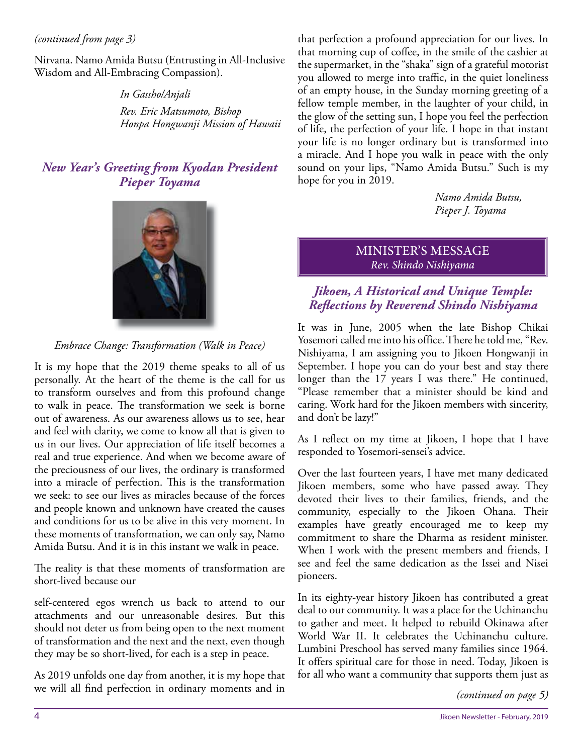#### *(continued from page 3)*

Nirvana. Namo Amida Butsu (Entrusting in All-Inclusive Wisdom and All-Embracing Compassion).

> *In Gassho/Anjali Rev. Eric Matsumoto, Bishop Honpa Hongwanji Mission of Hawaii*

#### *New Year's Greeting from Kyodan President Pieper Toyama*



*Embrace Change: Transformation (Walk in Peace)*

It is my hope that the 2019 theme speaks to all of us personally. At the heart of the theme is the call for us to transform ourselves and from this profound change to walk in peace. The transformation we seek is borne out of awareness. As our awareness allows us to see, hear and feel with clarity, we come to know all that is given to us in our lives. Our appreciation of life itself becomes a real and true experience. And when we become aware of the preciousness of our lives, the ordinary is transformed into a miracle of perfection. This is the transformation we seek: to see our lives as miracles because of the forces and people known and unknown have created the causes and conditions for us to be alive in this very moment. In these moments of transformation, we can only say, Namo Amida Butsu. And it is in this instant we walk in peace.

The reality is that these moments of transformation are short-lived because our

self-centered egos wrench us back to attend to our attachments and our unreasonable desires. But this should not deter us from being open to the next moment of transformation and the next and the next, even though they may be so short-lived, for each is a step in peace.

As 2019 unfolds one day from another, it is my hope that we will all find perfection in ordinary moments and in that perfection a profound appreciation for our lives. In that morning cup of coffee, in the smile of the cashier at the supermarket, in the "shaka" sign of a grateful motorist you allowed to merge into traffic, in the quiet loneliness of an empty house, in the Sunday morning greeting of a fellow temple member, in the laughter of your child, in the glow of the setting sun, I hope you feel the perfection of life, the perfection of your life. I hope in that instant your life is no longer ordinary but is transformed into a miracle. And I hope you walk in peace with the only sound on your lips, "Namo Amida Butsu." Such is my hope for you in 2019.

> *Namo Amida Butsu, Pieper J. Toyama*

MINISTER'S MESSAGE *Rev. Shindo Nishiyama*

#### *Jikoen, A Historical and Unique Temple: Refl ections by Reverend Shindo Nishiyama*

It was in June, 2005 when the late Bishop Chikai Yosemori called me into his office. There he told me, "Rev. Nishiyama, I am assigning you to Jikoen Hongwanji in September. I hope you can do your best and stay there longer than the 17 years I was there." He continued, "Please remember that a minister should be kind and caring. Work hard for the Jikoen members with sincerity, and don't be lazy!"

As I reflect on my time at Jikoen, I hope that I have responded to Yosemori-sensei's advice.

Over the last fourteen years, I have met many dedicated Jikoen members, some who have passed away. They devoted their lives to their families, friends, and the community, especially to the Jikoen Ohana. Their examples have greatly encouraged me to keep my commitment to share the Dharma as resident minister. When I work with the present members and friends, I see and feel the same dedication as the Issei and Nisei pioneers.

In its eighty-year history Jikoen has contributed a great deal to our community. It was a place for the Uchinanchu to gather and meet. It helped to rebuild Okinawa after World War II. It celebrates the Uchinanchu culture. Lumbini Preschool has served many families since 1964. It offers spiritual care for those in need. Today, Jikoen is for all who want a community that supports them just as

*(continued on page 5)*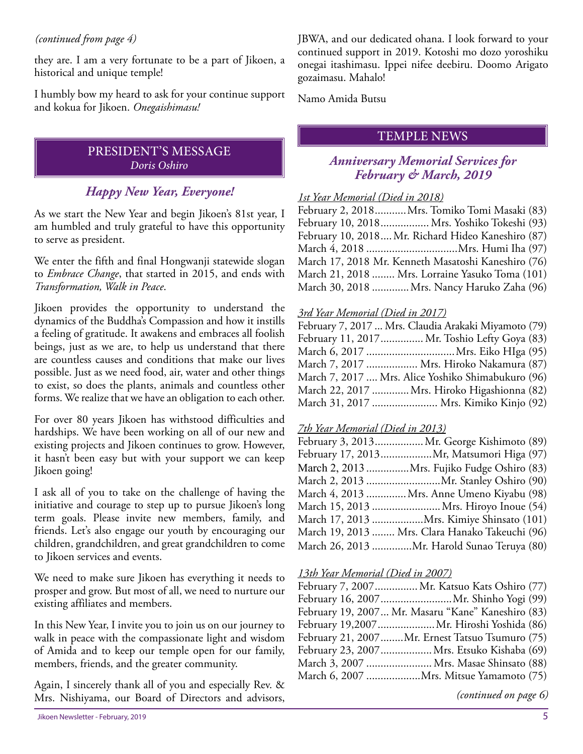#### *(continued from page 4)*

they are. I am a very fortunate to be a part of Jikoen, a historical and unique temple!

I humbly bow my heard to ask for your continue support and kokua for Jikoen. *Onegaishimasu!*

#### PRESIDENT'S MESSAGE *Doris Oshiro*

#### *Happy New Year, Everyone!*

As we start the New Year and begin Jikoen's 81st year, I am humbled and truly grateful to have this opportunity to serve as president.

We enter the fifth and final Hongwanji statewide slogan to *Embrace Change*, that started in 2015, and ends with *Transformation, Walk in Peace*.

Jikoen provides the opportunity to understand the dynamics of the Buddha's Compassion and how it instills a feeling of gratitude. It awakens and embraces all foolish beings, just as we are, to help us understand that there are countless causes and conditions that make our lives possible. Just as we need food, air, water and other things to exist, so does the plants, animals and countless other forms. We realize that we have an obligation to each other.

For over 80 years Jikoen has withstood difficulties and hardships. We have been working on all of our new and existing projects and Jikoen continues to grow. However, it hasn't been easy but with your support we can keep Jikoen going!

I ask all of you to take on the challenge of having the initiative and courage to step up to pursue Jikoen's long term goals. Please invite new members, family, and friends. Let's also engage our youth by encouraging our children, grandchildren, and great grandchildren to come to Jikoen services and events.

We need to make sure Jikoen has everything it needs to prosper and grow. But most of all, we need to nurture our existing affiliates and members.

In this New Year, I invite you to join us on our journey to walk in peace with the compassionate light and wisdom of Amida and to keep our temple open for our family, members, friends, and the greater community.

Again, I sincerely thank all of you and especially Rev. & Mrs. Nishiyama, our Board of Directors and advisors, JBWA, and our dedicated ohana. I look forward to your continued support in 2019. Kotoshi mo dozo yoroshiku onegai itashimasu. Ippei nifee deebiru. Doomo Arigato gozaimasu. Mahalo!

Namo Amida Butsu

#### TEMPLE NEWS

#### *Anniversary Memorial Services for February & March, 2019*

#### *1st Year Memorial (Died in 2018)*

February 2, 2018...........Mrs. Tomiko Tomi Masaki (83) February 10, 2018................. Mrs. Yoshiko Tokeshi (93) February 10, 2018....Mr. Richard Hideo Kaneshiro (87) March 4, 2018 ................................Mrs. Humi Iha (97) March 17, 2018 Mr. Kenneth Masatoshi Kaneshiro (76) March 21, 2018 ........ Mrs. Lorraine Yasuko Toma (101) March 30, 2018 .............Mrs. Nancy Haruko Zaha (96)

#### *3rd Year Memorial (Died in 2017)*

| February 7, 2017  Mrs. Claudia Arakaki Miyamoto (79) |
|------------------------------------------------------|
| February 11, 2017 Mr. Toshio Lefty Goya (83)         |
|                                                      |
| March 7, 2017  Mrs. Hiroko Nakamura (87)             |
| March 7, 2017  Mrs. Alice Yoshiko Shimabukuro (96)   |
| March 22, 2017 Mrs. Hiroko Higashionna (82)          |
| March 31, 2017  Mrs. Kimiko Kinjo (92)               |

#### *7th Year Memorial (Died in 2013)*

| February 3, 2013 Mr. George Kishimoto (89)      |
|-------------------------------------------------|
| February 17, 2013Mr, Matsumori Higa (97)        |
| March 2, 2013 Mrs. Fujiko Fudge Oshiro (83)     |
|                                                 |
| March 4, 2013  Mrs. Anne Umeno Kiyabu (98)      |
|                                                 |
| March 17, 2013 Mrs. Kimiye Shinsato (101)       |
| March 19, 2013  Mrs. Clara Hanako Takeuchi (96) |
| March 26, 2013 Mr. Harold Sunao Teruya (80)     |
|                                                 |

#### *13th Year Memorial (Died in 2007)*

| February 7, 2007 Mr. Katsuo Kats Oshiro (77)       |
|----------------------------------------------------|
|                                                    |
| February 19, 2007 Mr. Masaru "Kane" Kaneshiro (83) |
| February 19,2007Mr. Hiroshi Yoshida (86)           |
| February 21, 2007Mr. Ernest Tatsuo Tsumuro (75)    |
| February 23, 2007Mrs. Etsuko Kishaba (69)          |
| March 3, 2007  Mrs. Masae Shinsato (88)            |
| March 6, 2007 Mrs. Mitsue Yamamoto (75)            |

*(continued on page 6)*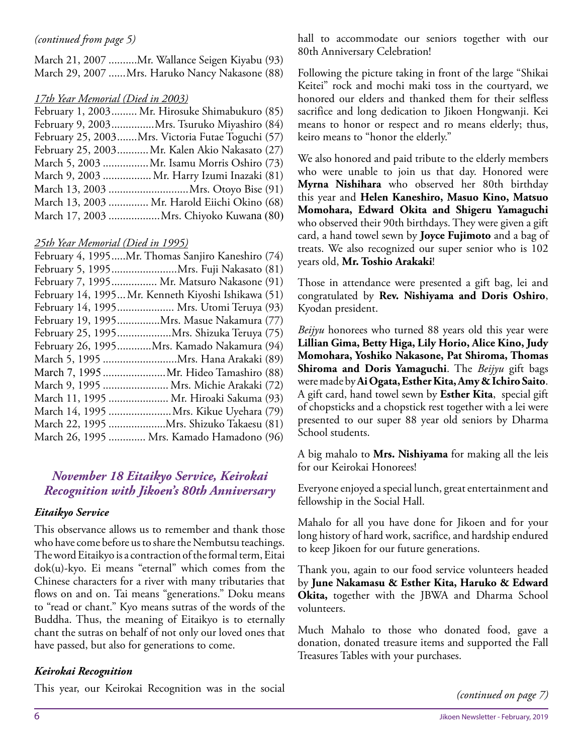March 21, 2007 ..........Mr. Wallance Seigen Kiyabu (93) March 29, 2007 ......Mrs. Haruko Nancy Nakasone (88)

#### *17th Year Memorial (Died in 2003)*

| February 9, 2003Mrs. Tsuruko Miyashiro (84)<br>February 25, 2003Mrs. Victoria Futae Toguchi (57)<br>February 25, 2003 Mr. Kalen Akio Nakasato (27) |
|----------------------------------------------------------------------------------------------------------------------------------------------------|
|                                                                                                                                                    |
|                                                                                                                                                    |
|                                                                                                                                                    |
| March 5, 2003 Mr. Isamu Morris Oshiro (73)                                                                                                         |
| March 9, 2003  Mr. Harry Izumi Inazaki (81)                                                                                                        |
| March 13, 2003 Mrs. Otoyo Bise (91)                                                                                                                |
| March 13, 2003  Mr. Harold Eiichi Okino (68)                                                                                                       |
| March 17, 2003 Mrs. Chiyoko Kuwana (80)                                                                                                            |

#### *25th Year Memorial (Died in 1995)*

| February 4, 1995Mr. Thomas Sanjiro Kaneshiro (74)   |
|-----------------------------------------------------|
| February 5, 1995Mrs. Fuji Nakasato (81)             |
| February 7, 1995 Mr. Matsuro Nakasone (91)          |
| February 14, 1995 Mr. Kenneth Kiyoshi Ishikawa (51) |
| February 14, 1995 Mrs. Utomi Teruya (93)            |
| February 19, 1995Mrs. Masue Nakamura (77)           |
|                                                     |
| February 26, 1995Mrs. Kamado Nakamura (94)          |
|                                                     |
| March 7, 1995  Mr. Hideo Tamashiro (88)             |
| March 9, 1995  Mrs. Michie Arakaki (72)             |
| March 11, 1995  Mr. Hiroaki Sakuma (93)             |
| March 14, 1995 Mrs. Kikue Uyehara (79)              |
| March 22, 1995 Mrs. Shizuko Takaesu (81)            |
| March 26, 1995  Mrs. Kamado Hamadono (96)           |

#### *November 18 Eitaikyo Service, Keirokai Recognition with Jikoen's 80th Anniversary*

#### *Eitaikyo Service*

This observance allows us to remember and thank those who have come before us to share the Nembutsu teachings. The word Eitaikyo is a contraction of the formal term, Eitai dok(u)-kyo. Ei means "eternal" which comes from the Chinese characters for a river with many tributaries that flows on and on. Tai means "generations." Doku means to "read or chant." Kyo means sutras of the words of the Buddha. Thus, the meaning of Eitaikyo is to eternally chant the sutras on behalf of not only our loved ones that have passed, but also for generations to come.

#### *Keirokai Recognition*

This year, our Keirokai Recognition was in the social

*(continued from page 5)* hall to accommodate our seniors together with our 80th Anniversary Celebration!

> Following the picture taking in front of the large "Shikai Keitei" rock and mochi maki toss in the courtyard, we honored our elders and thanked them for their selfless sacrifice and long dedication to Jikoen Hongwanji. Kei means to honor or respect and ro means elderly; thus, keiro means to "honor the elderly."

> We also honored and paid tribute to the elderly members who were unable to join us that day. Honored were **Myrna Nishihara** who observed her 80th birthday this year and **Helen Kaneshiro, Masuo Kino, Matsuo Momohara, Edward Okita and Shigeru Yamaguchi** who observed their 90th birthdays. They were given a gift card, a hand towel sewn by **Joyce Fujimoto** and a bag of treats. We also recognized our super senior who is 102 years old, **Mr. Toshio Arakaki**!

> Those in attendance were presented a gift bag, lei and congratulated by **Rev. Nishiyama and Doris Oshiro**, Kyodan president.

> *Beijyu* honorees who turned 88 years old this year were **Lillian Gima, Betty Higa, Lily Horio, Alice Kino, Judy Momohara, Yoshiko Nakasone, Pat Shiroma, Thomas Shiroma and Doris Yamaguchi**. The *Beijyu* gift bags were made by **Ai Ogata, Esther Kita, Amy & Ichiro Saito**. A gift card, hand towel sewn by **Esther Kita**, special gift of chopsticks and a chopstick rest together with a lei were presented to our super 88 year old seniors by Dharma School students.

> A big mahalo to **Mrs. Nishiyama** for making all the leis for our Keirokai Honorees!

> Everyone enjoyed a special lunch, great entertainment and fellowship in the Social Hall.

> Mahalo for all you have done for Jikoen and for your long history of hard work, sacrifice, and hardship endured to keep Jikoen for our future generations.

> Thank you, again to our food service volunteers headed by **June Nakamasu & Esther Kita, Haruko & Edward Okita,** together with the JBWA and Dharma School volunteers.

> Much Mahalo to those who donated food, gave a donation, donated treasure items and supported the Fall Treasures Tables with your purchases.

> > *(continued on page 7)*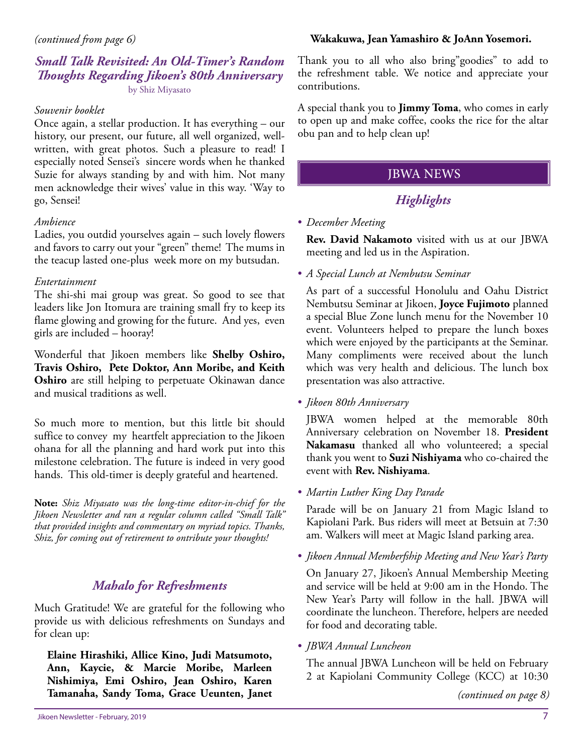#### *Small Talk Revisited: An Old-Timer's Random Thoughts Regarding Jikoen's 80th Anniversary* by Shiz Miyasato

#### *Souvenir booklet*

Once again, a stellar production. It has everything – our history, our present, our future, all well organized, wellwritten, with great photos. Such a pleasure to read! I especially noted Sensei's sincere words when he thanked Suzie for always standing by and with him. Not many men acknowledge their wives' value in this way. 'Way to go, Sensei!

#### *Ambience*

Ladies, you outdid yourselves again – such lovely flowers and favors to carry out your "green" theme! The mums in the teacup lasted one-plus week more on my butsudan.

#### *Entertainment*

The shi-shi mai group was great. So good to see that leaders like Jon Itomura are training small fry to keep its flame glowing and growing for the future. And yes, even girls are included – hooray!

Wonderful that Jikoen members like **Shelby Oshiro, Travis Oshiro, Pete Doktor, Ann Moribe, and Keith Oshiro** are still helping to perpetuate Okinawan dance and musical traditions as well.

So much more to mention, but this little bit should suffice to convey my heartfelt appreciation to the Jikoen ohana for all the planning and hard work put into this milestone celebration. The future is indeed in very good hands. This old-timer is deeply grateful and heartened.

**Note:** *Shiz Miyasato was the long-time editor-in-chief for the Jikoen Newsletter and ran a regular column called "Small Talk" that provided insights and commentary on myriad topics. Thanks, Shiz, for coming out of retirement to ontribute your thoughts!*

### *Mahalo for Refreshments*

Much Gratitude! We are grateful for the following who provide us with delicious refreshments on Sundays and for clean up:

**Elaine Hirashiki, Allice Kino, Judi Matsumoto, Ann, Kaycie, & Marcie Moribe, Marleen Nishimiya, Emi Oshiro, Jean Oshiro, Karen Tamanaha, Sandy Toma, Grace Ueunten, Janet** 

#### **Wakakuwa, Jean Yamashiro & JoAnn Yosemori.**

Thank you to all who also bring"goodies" to add to the refreshment table. We notice and appreciate your contributions.

A special thank you to **Jimmy Toma**, who comes in early to open up and make coffee, cooks the rice for the altar obu pan and to help clean up!

#### JBWA NEWS

### *Highlights*

#### • *December Meeting*

**Rev. David Nakamoto** visited with us at our JBWA meeting and led us in the Aspiration.

• *A Special Lunch at Nembutsu Seminar*

As part of a successful Honolulu and Oahu District Nembutsu Seminar at Jikoen, **Joyce Fujimoto** planned a special Blue Zone lunch menu for the November 10 event. Volunteers helped to prepare the lunch boxes which were enjoyed by the participants at the Seminar. Many compliments were received about the lunch which was very health and delicious. The lunch box presentation was also attractive.

• *Jikoen 80th Anniversary*

JBWA women helped at the memorable 80th Anniversary celebration on November 18. **President Nakamasu** thanked all who volunteered; a special thank you went to **Suzi Nishiyama** who co-chaired the event with **Rev. Nishiyama**.

• *Martin Luther King Day Parade*

Parade will be on January 21 from Magic Island to Kapiolani Park. Bus riders will meet at Betsuin at 7:30 am. Walkers will meet at Magic Island parking area.

• *Jikoen Annual Memberfship Meeting and New Year's Party*

On January 27, Jikoen's Annual Membership Meeting and service will be held at 9:00 am in the Hondo. The New Year's Party will follow in the hall. JBWA will coordinate the luncheon. Therefore, helpers are needed for food and decorating table.

• *JBWA Annual Luncheon*

The annual JBWA Luncheon will be held on February 2 at Kapiolani Community College (KCC) at 10:30

*(continued on page 8)*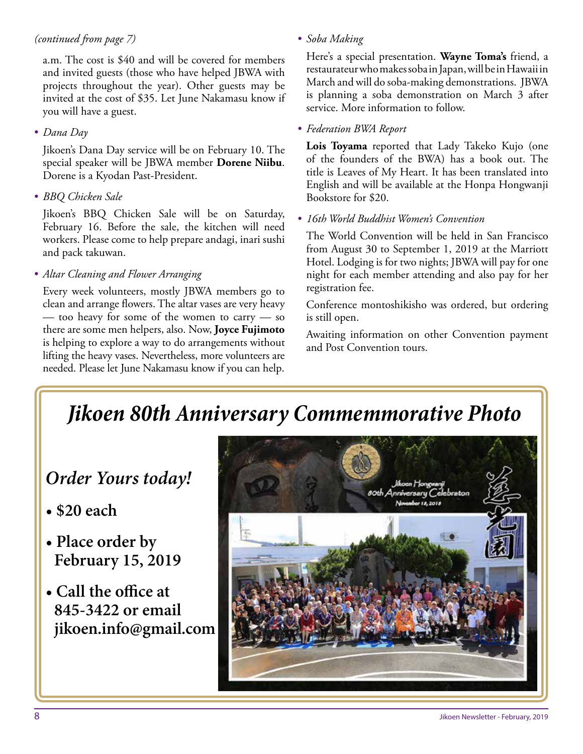#### *(continued from page 7)*

a.m. The cost is \$40 and will be covered for members and invited guests (those who have helped JBWA with projects throughout the year). Other guests may be invited at the cost of \$35. Let June Nakamasu know if you will have a guest.

#### • *Dana Day*

Jikoen's Dana Day service will be on February 10. The special speaker will be JBWA member **Dorene Niibu**. Dorene is a Kyodan Past-President.

• *BBQ Chicken Sale*

Jikoen's BBQ Chicken Sale will be on Saturday, February 16. Before the sale, the kitchen will need workers. Please come to help prepare andagi, inari sushi and pack takuwan.

• *Altar Cleaning and Flower Arranging*

Every week volunteers, mostly JBWA members go to clean and arrange flowers. The altar vases are very heavy — too heavy for some of the women to carry — so there are some men helpers, also. Now, **Joyce Fujimoto**  is helping to explore a way to do arrangements without lifting the heavy vases. Nevertheless, more volunteers are needed. Please let June Nakamasu know if you can help.

• *Soba Making*

Here's a special presentation. **Wayne Toma's** friend, a restaurateur who makes soba in Japan, will be in Hawaii in March and will do soba-making demonstrations. JBWA is planning a soba demonstration on March 3 after service. More information to follow.

#### • *Federation BWA Report*

**Lois Toyama** reported that Lady Takeko Kujo (one of the founders of the BWA) has a book out. The title is Leaves of My Heart. It has been translated into English and will be available at the Honpa Hongwanji Bookstore for \$20.

#### • *16th World Buddhist Women's Convention*

The World Convention will be held in San Francisco from August 30 to September 1, 2019 at the Marriott Hotel. Lodging is for two nights; JBWA will pay for one night for each member attending and also pay for her registration fee.

Conference montoshikisho was ordered, but ordering is still open.

Awaiting information on other Convention payment and Post Convention tours.

## *Jikoen 80th Anniversary Commemmorative Photo*

### *Order Yours today!*

- **\$20 each**
- **Place order by February 15, 2019**
- **Call the office at 845-3422 or email jikoen.info@gmail.com**

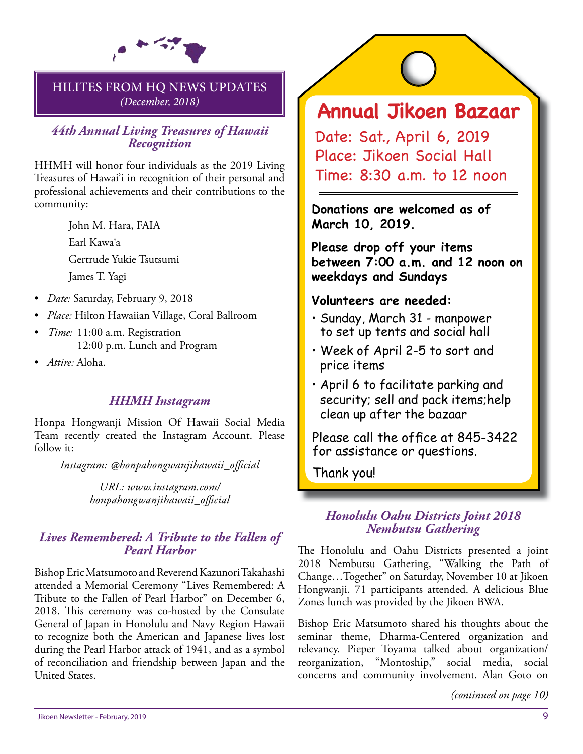

#### HILITES FROM HQ NEWS UPDATES *(December, 2018)*

#### *44th Annual Living Treasures of Hawaii Recognition*

HHMH will honor four individuals as the 2019 Living Treasures of Hawai'i in recognition of their personal and professional achievements and their contributions to the community:

> John M. Hara, FAIA Earl Kawa'a Gertrude Yukie Tsutsumi James T. Yagi

- *Date:* Saturday, February 9, 2018
- *Place:* Hilton Hawaiian Village, Coral Ballroom
- *Time:* 11:00 a.m. Registration 12:00 p.m. Lunch and Program
- *Attire:* Aloha.

#### *HHMH Instagram*

Honpa Hongwanji Mission Of Hawaii Social Media Team recently created the Instagram Account. Please follow it:

*Instagram: @honpahongwanjihawaii\_offi cial*

*URL: www.instagram.com/ honpahongwanjihawaii\_offi cial*

# *Lives Remembered: A Tribute to the Fallen of Pearl Harbor*

Bishop Eric Matsumoto and Reverend Kazunori Takahashi attended a Memorial Ceremony "Lives Remembered: A Tribute to the Fallen of Pearl Harbor" on December 6, 2018. This ceremony was co-hosted by the Consulate General of Japan in Honolulu and Navy Region Hawaii to recognize both the American and Japanese lives lost during the Pearl Harbor attack of 1941, and as a symbol of reconciliation and friendship between Japan and the United States.

## **Annual Jikoen Bazaar**

Date: Sat., April 6, 2019 Place: Jikoen Social Hall Time: 8:30 a.m. to 12 noon

**Donations are welcomed as of March 10, 2019.**

**Please drop off your items between 7:00 a.m. and 12 noon on weekdays and Sundays**

#### **Volunteers are needed:**

- Sunday, March 31 manpower to set up tents and social hall
- Week of April 2-5 to sort and price items
- April 6 to facilitate parking and security; sell and pack items;help clean up after the bazaar

Please call the office at 845-3422 for assistance or questions.

Thank you!

#### *Honolulu Oahu Districts Joint 2018 Nembutsu Gathering*

The Honolulu and Oahu Districts presented a joint 2018 Nembutsu Gathering, "Walking the Path of Change…Together" on Saturday, November 10 at Jikoen Hongwanji. 71 participants attended. A delicious Blue Zones lunch was provided by the Jikoen BWA.

Bishop Eric Matsumoto shared his thoughts about the seminar theme, Dharma-Centered organization and relevancy. Pieper Toyama talked about organization/ reorganization, "Montoship," social media, social concerns and community involvement. Alan Goto on

*(continued on page 10)*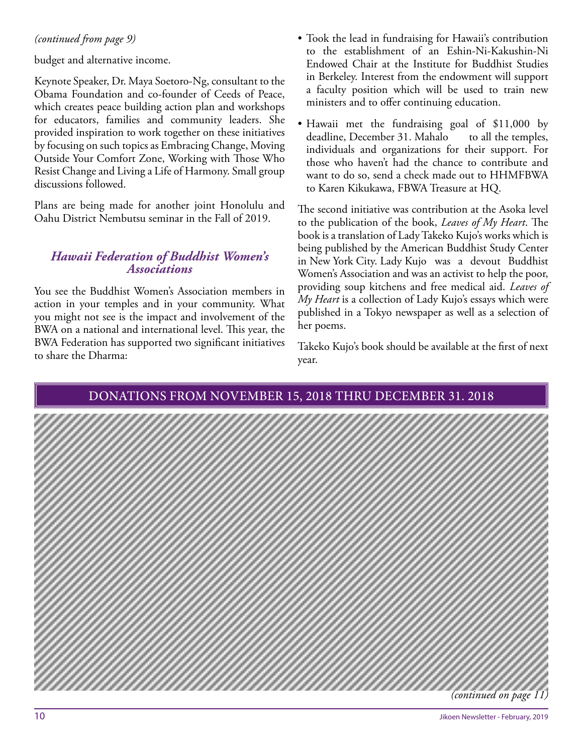budget and alternative income.

Keynote Speaker, Dr. Maya Soetoro-Ng, consultant to the Obama Foundation and co-founder of Ceeds of Peace, which creates peace building action plan and workshops for educators, families and community leaders. She provided inspiration to work together on these initiatives by focusing on such topics as Embracing Change, Moving Outside Your Comfort Zone, Working with Those Who Resist Change and Living a Life of Harmony. Small group discussions followed.

Plans are being made for another joint Honolulu and Oahu District Nembutsu seminar in the Fall of 2019.

#### *Hawaii Federation of Buddhist Women's Associations*

You see the Buddhist Women's Association members in action in your temples and in your community. What you might not see is the impact and involvement of the BWA on a national and international level. This year, the BWA Federation has supported two significant initiatives to share the Dharma:

- *(continued from page 9)* Took the lead in fundraising for Hawaii's contribution to the establishment of an Eshin-Ni-Kakushin-Ni Endowed Chair at the Institute for Buddhist Studies in Berkeley. Interest from the endowment will support a faculty position which will be used to train new ministers and to offer continuing education.
	- Hawaii met the fundraising goal of \$11,000 by deadline, December 31. Mahalo to all the temples, individuals and organizations for their support. For those who haven't had the chance to contribute and want to do so, send a check made out to HHMFBWA to Karen Kikukawa, FBWA Treasure at HQ.

The second initiative was contribution at the Asoka level to the publication of the book, *Leaves of My Heart*. The book is a translation of Lady Takeko Kujo's works which is being published by the American Buddhist Study Center in New York City. Lady Kujo was a devout Buddhist Women's Association and was an activist to help the poor, providing soup kitchens and free medical aid. *Leaves of My Heart* is a collection of Lady Kujo's essays which were published in a Tokyo newspaper as well as a selection of her poems.

Takeko Kujo's book should be available at the first of next year.

#### DONATIONS FROM NOVEMBER 15, 2018 THRU DECEMBER 31. 2018

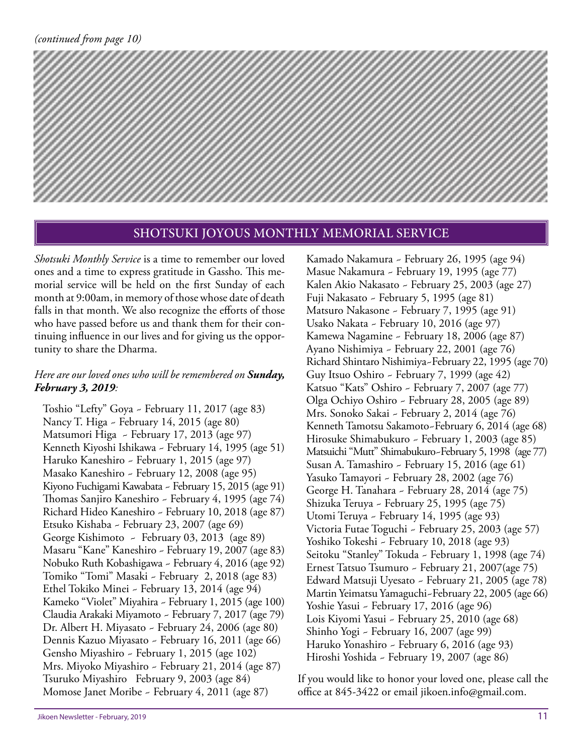

#### SHOTSUKI JOYOUS MONTHLY MEMORIAL SERVICE

*Shotsuki Monthly Service* is a time to remember our loved ones and a time to express gratitude in Gassho. This memorial service will be held on the first Sunday of each month at 9:00am, in memory of those whose date of death falls in that month. We also recognize the efforts of those who have passed before us and thank them for their continuing influence in our lives and for giving us the opportunity to share the Dharma.

#### *Here are our loved ones who will be remembered on Sunday, February 3, 2019:*

Toshio "Lefty" Goya ~ February 11, 2017 (age 83) Nancy T. Higa ~ February 14, 2015 (age 80) Matsumori Higa ~ February 17, 2013 (age 97) Kenneth Kiyoshi Ishikawa ~ February 14, 1995 (age 51) Haruko Kaneshiro ~ February 1, 2015 (age 97) Masako Kaneshiro ~ February 12, 2008 (age 95) Kiyono Fuchigami Kawabata ~ February 15, 2015 (age 91) Thomas Sanjiro Kaneshiro ~ February 4, 1995 (age 74) Richard Hideo Kaneshiro ~ February 10, 2018 (age 87) Etsuko Kishaba ~ February 23, 2007 (age 69) George Kishimoto ~ February 03, 2013 (age 89) Masaru "Kane" Kaneshiro ~ February 19, 2007 (age 83) Nobuko Ruth Kobashigawa ~ February 4, 2016 (age 92) Tomiko "Tomi" Masaki ~ February 2, 2018 (age 83) Ethel Tokiko Minei ~ February 13, 2014 (age 94) Kameko "Violet" Miyahira ~ February 1, 2015 (age 100) Claudia Arakaki Miyamoto ~ February 7, 2017 (age 79) Dr. Albert H. Miyasato ~ February 24, 2006 (age 80) Dennis Kazuo Miyasato ~ February 16, 2011 (age 66) Gensho Miyashiro ~ February 1, 2015 (age 102) Mrs. Miyoko Miyashiro ~ February 21, 2014 (age 87) Tsuruko Miyashiro February 9, 2003 (age 84) Momose Janet Moribe ~ February 4, 2011 (age 87)

Kamado Nakamura ~ February 26, 1995 (age 94) Masue Nakamura ~ February 19, 1995 (age 77) Kalen Akio Nakasato ~ February 25, 2003 (age 27) Fuji Nakasato ~ February 5, 1995 (age 81) Matsuro Nakasone ~ February 7, 1995 (age 91) Usako Nakata ~ February 10, 2016 (age 97) Kamewa Nagamine ~ February 18, 2006 (age 87) Ayano Nishimiya ~ February 22, 2001 (age 76) Richard Shintaro Nishimiya~February 22, 1995 (age 70) Guy Itsuo Oshiro ~ February 7, 1999 (age 42) Katsuo "Kats" Oshiro ~ February 7, 2007 (age 77) Olga Ochiyo Oshiro ~ February 28, 2005 (age 89) Mrs. Sonoko Sakai ~ February 2, 2014 (age 76) Kenneth Tamotsu Sakamoto~February 6, 2014 (age 68) Hirosuke Shimabukuro ~ February 1, 2003 (age 85) Matsuichi "Mutt" Shimabukuro~February 5, 1998 (age 77) Susan A. Tamashiro ~ February 15, 2016 (age 61) Yasuko Tamayori ~ February 28, 2002 (age 76) George H. Tanahara ~ February 28, 2014 (age 75) Shizuka Teruya ~ February 25, 1995 (age 75) Utomi Teruya ~ February 14, 1995 (age 93) Victoria Futae Toguchi ~ February 25, 2003 (age 57) Yoshiko Tokeshi ~ February 10, 2018 (age 93) Seitoku "Stanley" Tokuda ~ February 1, 1998 (age 74) Ernest Tatsuo Tsumuro ~ February 21, 2007(age 75) Edward Matsuji Uyesato ~ February 21, 2005 (age 78) Martin Yeimatsu Yamaguchi~February 22, 2005 (age 66) Yoshie Yasui ~ February 17, 2016 (age 96) Lois Kiyomi Yasui ~ February 25, 2010 (age 68) Shinho Yogi ~ February 16, 2007 (age 99) Haruko Yonashiro ~ February 6, 2016 (age 93) Hiroshi Yoshida ~ February 19, 2007 (age 86)

If you would like to honor your loved one, please call the office at 845-3422 or email jikoen.info@gmail.com.